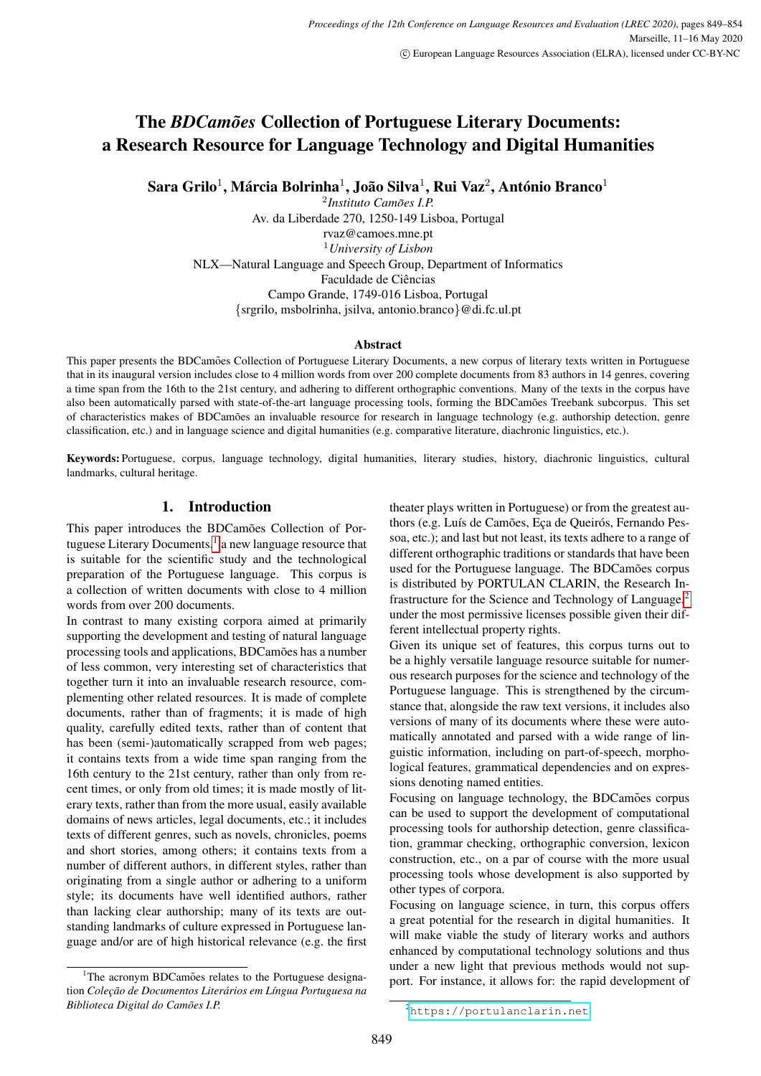# **The** *BDCamões* Collection of Portuguese Literary Documents: a Research Resource for Language Technology and Digital Humanities

Sara Grilo $^1$ , Márcia Bolrinha $^1$ , João Silva $^1$ , Rui Vaz $^2$ , António Branco $^1$ 

<sup>2</sup>Instituto Camões I.P. Av. da Liberdade 270, 1250-149 Lisboa, Portugal rvaz@camoes.mne.pt <sup>1</sup>*University of Lisbon* NLX—Natural Language and Speech Group, Department of Informatics Faculdade de Ciências Campo Grande, 1749-016 Lisboa, Portugal {srgrilo, msbolrinha, jsilva, antonio.branco}@di.fc.ul.pt

#### Abstract

This paper presents the BDCamões Collection of Portuguese Literary Documents, a new corpus of literary texts written in Portuguese that in its inaugural version includes close to 4 million words from over 200 complete documents from 83 authors in 14 genres, covering a time span from the 16th to the 21st century, and adhering to different orthographic conventions. Many of the texts in the corpus have also been automatically parsed with state-of-the-art language processing tools, forming the BDCamões Treebank subcorpus. This set of characteristics makes of BDCamões an invaluable resource for research in language technology (e.g. authorship detection, genre classification, etc.) and in language science and digital humanities (e.g. comparative literature, diachronic linguistics, etc.).

Keywords: Portuguese, corpus, language technology, digital humanities, literary studies, history, diachronic linguistics, cultural landmarks, cultural heritage.

# 1. Introduction

This paper introduces the BDCamões Collection of Portuguese Literary Documents, $<sup>1</sup>$  $<sup>1</sup>$  $<sup>1</sup>$  a new language resource that</sup> is suitable for the scientific study and the technological preparation of the Portuguese language. This corpus is a collection of written documents with close to 4 million words from over 200 documents.

In contrast to many existing corpora aimed at primarily supporting the development and testing of natural language processing tools and applications, BDCamões has a number of less common, very interesting set of characteristics that together turn it into an invaluable research resource, complementing other related resources. It is made of complete documents, rather than of fragments; it is made of high quality, carefully edited texts, rather than of content that has been (semi-)automatically scrapped from web pages; it contains texts from a wide time span ranging from the 16th century to the 21st century, rather than only from recent times, or only from old times; it is made mostly of literary texts, rather than from the more usual, easily available domains of news articles, legal documents, etc.; it includes texts of different genres, such as novels, chronicles, poems and short stories, among others; it contains texts from a number of different authors, in different styles, rather than originating from a single author or adhering to a uniform style; its documents have well identified authors, rather than lacking clear authorship; many of its texts are outstanding landmarks of culture expressed in Portuguese language and/or are of high historical relevance (e.g. the first

<span id="page-0-0"></span> $1$ The acronym BDCamões relates to the Portuguese designation *Colec¸ao de Documentos Liter ˜ arios em L ´ ´ıngua Portuguesa na*  $Biblioteca Digital do Camões I.P.$ 

theater plays written in Portuguese) or from the greatest authors (e.g. Luís de Camões, Eça de Queirós, Fernando Pessoa, etc.); and last but not least, its texts adhere to a range of different orthographic traditions or standards that have been used for the Portuguese language. The BDCamões corpus is distributed by PORTULAN CLARIN, the Research Infrastructure for the Science and Technology of Language,[2](#page-0-1) under the most permissive licenses possible given their different intellectual property rights.

Given its unique set of features, this corpus turns out to be a highly versatile language resource suitable for numerous research purposes for the science and technology of the Portuguese language. This is strengthened by the circumstance that, alongside the raw text versions, it includes also versions of many of its documents where these were automatically annotated and parsed with a wide range of linguistic information, including on part-of-speech, morphological features, grammatical dependencies and on expressions denoting named entities.

Focusing on language technology, the BDCamões corpus can be used to support the development of computational processing tools for authorship detection, genre classification, grammar checking, orthographic conversion, lexicon construction, etc., on a par of course with the more usual processing tools whose development is also supported by other types of corpora.

Focusing on language science, in turn, this corpus offers a great potential for the research in digital humanities. It will make viable the study of literary works and authors enhanced by computational technology solutions and thus under a new light that previous methods would not support. For instance, it allows for: the rapid development of

<span id="page-0-1"></span><sup>2</sup><https://portulanclarin.net>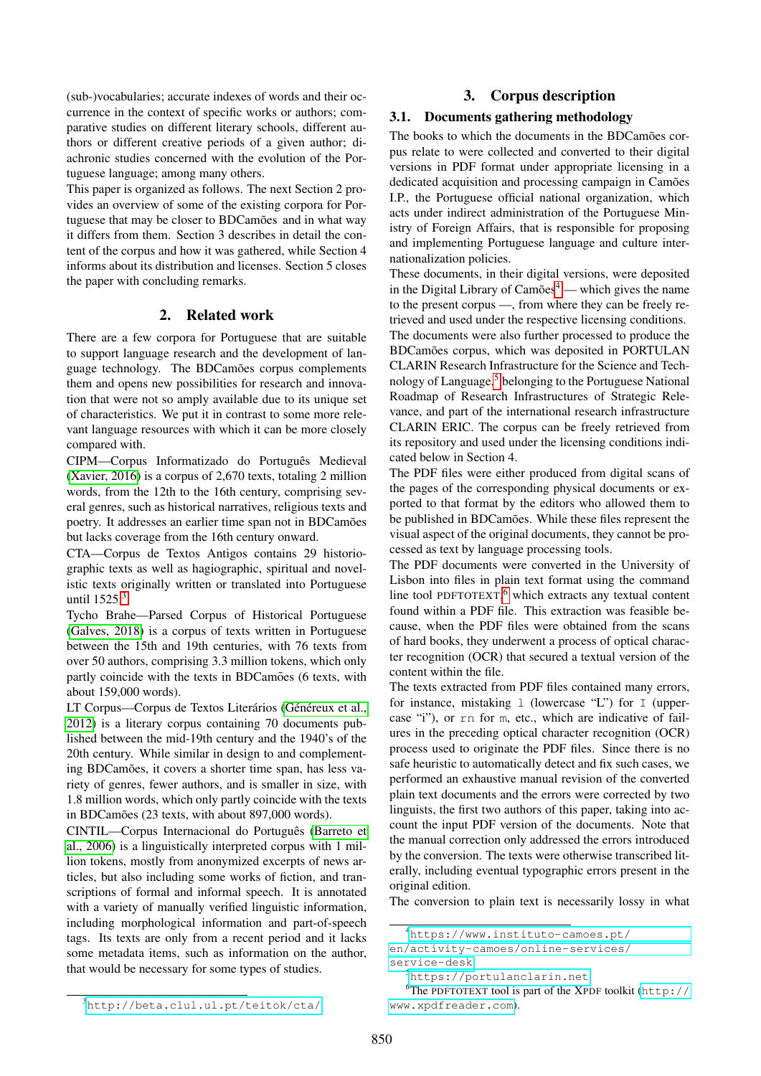(sub-)vocabularies; accurate indexes of words and their occurrence in the context of specific works or authors; comparative studies on different literary schools, different authors or different creative periods of a given author; diachronic studies concerned with the evolution of the Portuguese language; among many others.

This paper is organized as follows. The next Section 2 provides an overview of some of the existing corpora for Portuguese that may be closer to BDCamões and in what way it differs from them. Section 3 describes in detail the content of the corpus and how it was gathered, while Section 4 informs about its distribution and licenses. Section 5 closes the paper with concluding remarks.

## 2. Related work

There are a few corpora for Portuguese that are suitable to support language research and the development of language technology. The BDCamões corpus complements them and opens new possibilities for research and innovation that were not so amply available due to its unique set of characteristics. We put it in contrast to some more relevant language resources with which it can be more closely compared with.

CIPM—Corpus Informatizado do Português Medieval [\(Xavier, 2016\)](#page-5-0) is a corpus of 2,670 texts, totaling 2 million words, from the 12th to the 16th century, comprising several genres, such as historical narratives, religious texts and poetry. It addresses an earlier time span not in BDCamões but lacks coverage from the 16th century onward.

CTA—Corpus de Textos Antigos contains 29 historiographic texts as well as hagiographic, spiritual and novelistic texts originally written or translated into Portuguese until 1525.<sup>[3](#page-1-0)</sup>

Tycho Brahe—Parsed Corpus of Historical Portuguese [\(Galves, 2018\)](#page-4-0) is a corpus of texts written in Portuguese between the 15th and 19th centuries, with 76 texts from over 50 authors, comprising 3.3 million tokens, which only partly coincide with the texts in BDCamoes (6 texts, with about 159,000 words).

LT Corpus—Corpus de Textos Literários (Généreux et al., [2012\)](#page-5-1) is a literary corpus containing 70 documents published between the mid-19th century and the 1940's of the 20th century. While similar in design to and complementing BDCamões, it covers a shorter time span, has less variety of genres, fewer authors, and is smaller in size, with 1.8 million words, which only partly coincide with the texts in BDCamões (23 texts, with about 897,000 words).

CINTIL—Corpus Internacional do Português [\(Barreto et](#page-4-1) [al., 2006\)](#page-4-1) is a linguistically interpreted corpus with 1 million tokens, mostly from anonymized excerpts of news articles, but also including some works of fiction, and transcriptions of formal and informal speech. It is annotated with a variety of manually verified linguistic information, including morphological information and part-of-speech tags. Its texts are only from a recent period and it lacks some metadata items, such as information on the author, that would be necessary for some types of studies.

## 3. Corpus description

## 3.1. Documents gathering methodology

The books to which the documents in the BDCamões corpus relate to were collected and converted to their digital versions in PDF format under appropriate licensing in a dedicated acquisition and processing campaign in Camões I.P., the Portuguese official national organization, which acts under indirect administration of the Portuguese Ministry of Foreign Affairs, that is responsible for proposing and implementing Portuguese language and culture internationalization policies.

These documents, in their digital versions, were deposited in the Digital Library of  $Camões<sup>4</sup>$  $Camões<sup>4</sup>$  $Camões<sup>4</sup>$  — which gives the name to the present corpus —, from where they can be freely retrieved and used under the respective licensing conditions.

The documents were also further processed to produce the BDCamões corpus, which was deposited in PORTULAN CLARIN Research Infrastructure for the Science and Tech-nology of Language,<sup>[5](#page-1-2)</sup> belonging to the Portuguese National Roadmap of Research Infrastructures of Strategic Relevance, and part of the international research infrastructure CLARIN ERIC. The corpus can be freely retrieved from its repository and used under the licensing conditions indicated below in Section 4.

The PDF files were either produced from digital scans of the pages of the corresponding physical documents or exported to that format by the editors who allowed them to be published in BDCamões. While these files represent the visual aspect of the original documents, they cannot be processed as text by language processing tools.

The PDF documents were converted in the University of Lisbon into files in plain text format using the command line tool PDFTOTEXT,<sup>[6](#page-1-3)</sup> which extracts any textual content found within a PDF file. This extraction was feasible because, when the PDF files were obtained from the scans of hard books, they underwent a process of optical character recognition (OCR) that secured a textual version of the content within the file.

The texts extracted from PDF files contained many errors, for instance, mistaking 1 (lowercase "L") for 1 (uppercase "i"), or rn for m, etc., which are indicative of failures in the preceding optical character recognition (OCR) process used to originate the PDF files. Since there is no safe heuristic to automatically detect and fix such cases, we performed an exhaustive manual revision of the converted plain text documents and the errors were corrected by two linguists, the first two authors of this paper, taking into account the input PDF version of the documents. Note that the manual correction only addressed the errors introduced by the conversion. The texts were otherwise transcribed literally, including eventual typographic errors present in the original edition.

The conversion to plain text is necessarily lossy in what

<span id="page-1-1"></span><sup>4</sup>[https://www.instituto-camoes.pt/](https://www.instituto-camoes.pt/en/activity-camoes/online-services/service-desk)

[en/activity-camoes/online-services/](https://www.instituto-camoes.pt/en/activity-camoes/online-services/service-desk) [service-desk](https://www.instituto-camoes.pt/en/activity-camoes/online-services/service-desk)

<span id="page-1-3"></span><span id="page-1-2"></span><sup>5</sup><https://portulanclarin.net>

<sup>6</sup>The PDFTOTEXT tool is part of the XPDF toolkit ([http://](http://www.xpdfreader.com) [www.xpdfreader.com](http://www.xpdfreader.com)).

<span id="page-1-0"></span><sup>3</sup><http://beta.clul.ul.pt/teitok/cta/>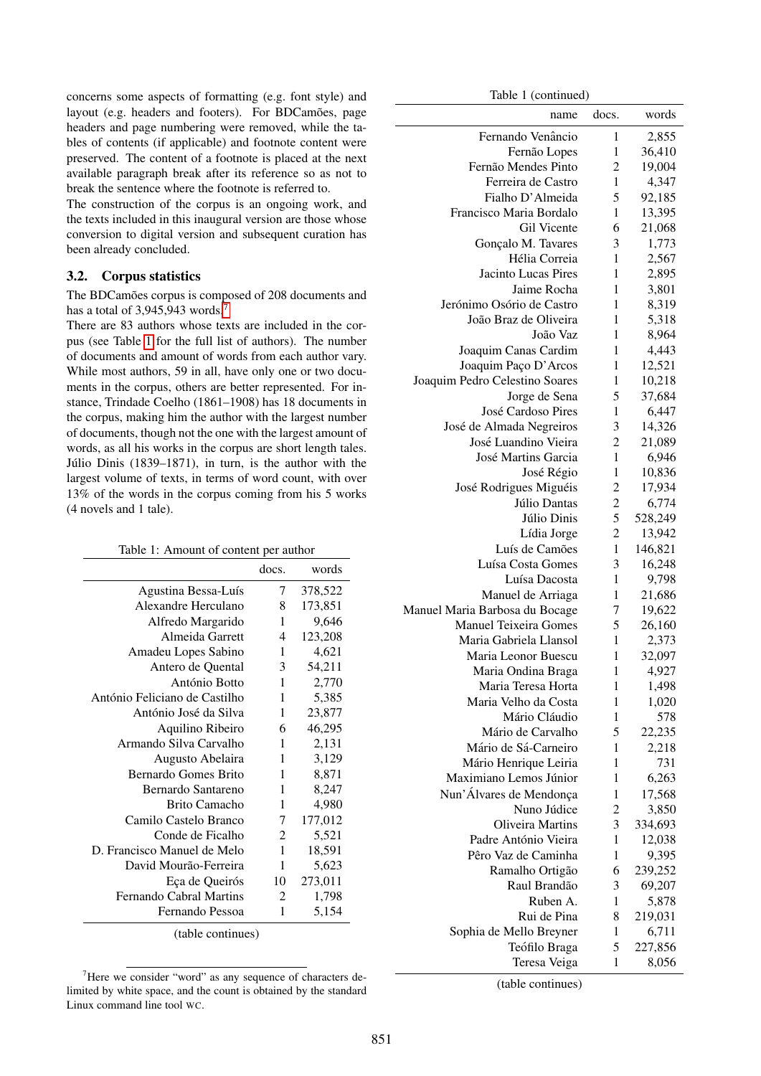concerns some aspects of formatting (e.g. font style) and layout (e.g. headers and footers). For BDCamões, page headers and page numbering were removed, while the tables of contents (if applicable) and footnote content were preserved. The content of a footnote is placed at the next available paragraph break after its reference so as not to break the sentence where the footnote is referred to.

The construction of the corpus is an ongoing work, and the texts included in this inaugural version are those whose conversion to digital version and subsequent curation has been already concluded.

## 3.2. Corpus statistics

The BDCamões corpus is composed of 208 documents and has a total of 3.945.943 words.<sup>[7](#page-2-0)</sup>

There are 83 authors whose texts are included in the corpus (see Table [1](#page-2-1) for the full list of authors). The number of documents and amount of words from each author vary. While most authors, 59 in all, have only one or two documents in the corpus, others are better represented. For instance, Trindade Coelho (1861–1908) has 18 documents in the corpus, making him the author with the largest number of documents, though not the one with the largest amount of words, as all his works in the corpus are short length tales. Júlio Dinis  $(1839-1871)$ , in turn, is the author with the largest volume of texts, in terms of word count, with over 13% of the words in the corpus coming from his 5 works (4 novels and 1 tale).

<span id="page-2-1"></span>

| Table 1: Amount of content per author |                |         |  |  |
|---------------------------------------|----------------|---------|--|--|
|                                       | docs.          | words   |  |  |
| Agustina Bessa-Luís                   | 7              |         |  |  |
| Alexandre Herculano                   | 8              | 173,851 |  |  |
| Alfredo Margarido                     | 1              | 9,646   |  |  |
| Almeida Garrett                       | $\overline{4}$ | 123,208 |  |  |
| Amadeu Lopes Sabino                   | 1              | 4,621   |  |  |
| Antero de Quental                     | 3              | 54,211  |  |  |
| António Botto                         | 1              | 2,770   |  |  |
| António Feliciano de Castilho         | 1              | 5,385   |  |  |
| António José da Silva                 | 1              | 23,877  |  |  |
| Aquilino Ribeiro                      | 6              | 46,295  |  |  |
| Armando Silva Carvalho                | 1              | 2,131   |  |  |
| Augusto Abelaira                      | 1              | 3,129   |  |  |
| Bernardo Gomes Brito                  | 1              | 8,871   |  |  |
| Bernardo Santareno                    | 1              | 8,247   |  |  |
| Brito Camacho                         | 1              | 4,980   |  |  |
| Camilo Castelo Branco                 | 7              | 177,012 |  |  |
| Conde de Ficalho                      | 2              | 5,521   |  |  |
| D. Francisco Manuel de Melo           | 1              | 18,591  |  |  |
| David Mourão-Ferreira                 | 1              | 5,623   |  |  |
| Eça de Queirós                        | 10             | 273,011 |  |  |
| <b>Fernando Cabral Martins</b>        | 2              | 1,798   |  |  |
| Fernando Pessoa                       | 1              | 5,154   |  |  |
| (table continues)                     |                |         |  |  |

<span id="page-2-0"></span><sup>7</sup>Here we consider "word" as any sequence of characters delimited by white space, and the count is obtained by the standard Linux command line tool WC.

Table 1 (continued)

| name                           | docs.                   | words   |
|--------------------------------|-------------------------|---------|
| Fernando Venâncio              | 1                       | 2,855   |
| Fernão Lopes                   | 1                       | 36,410  |
| Fernão Mendes Pinto            | 2                       | 19,004  |
| Ferreira de Castro             | 1                       | 4,347   |
| Fialho D'Almeida               | 5                       | 92,185  |
| Francisco Maria Bordalo        | 1                       | 13,395  |
| Gil Vicente                    | 6                       | 21,068  |
| Gonçalo M. Tavares             | 3                       | 1,773   |
| Hélia Correia                  | 1                       | 2,567   |
| <b>Jacinto Lucas Pires</b>     | 1                       | 2,895   |
| Jaime Rocha                    | 1                       | 3,801   |
| Jerónimo Osório de Castro      | 1                       | 8,319   |
| João Braz de Oliveira          | 1                       | 5,318   |
| João Vaz                       | 1                       | 8,964   |
|                                | 1                       | 4,443   |
| Joaquim Canas Cardim           |                         |         |
| Joaquim Paço D'Arcos           | 1                       | 12,521  |
| Joaquim Pedro Celestino Soares | 1                       | 10,218  |
| Jorge de Sena                  | 5                       | 37,684  |
| José Cardoso Pires             | 1                       | 6,447   |
| José de Almada Negreiros       | 3                       | 14,326  |
| José Luandino Vieira           | $\overline{c}$          | 21,089  |
| José Martins Garcia            | 1                       | 6,946   |
| José Régio                     | $\mathbf{1}$            | 10,836  |
| José Rodrigues Miguéis         | $\overline{c}$          | 17,934  |
| Júlio Dantas                   | $\overline{\mathbf{c}}$ | 6,774   |
| Júlio Dinis                    | 5                       | 528,249 |
| Lídia Jorge                    | $\overline{c}$          | 13,942  |
| Luís de Camões                 | $\mathbf{1}$            | 146,821 |
| Luísa Costa Gomes              | 3                       | 16,248  |
| Luísa Dacosta                  | 1                       | 9,798   |
| Manuel de Arriaga              | 1                       | 21,686  |
| Manuel Maria Barbosa du Bocage | 7                       | 19,622  |
| <b>Manuel Teixeira Gomes</b>   | 5                       | 26,160  |
| Maria Gabriela Llansol         | 1                       | 2,373   |
| Maria Leonor Buescu            | 1                       | 32,097  |
| Maria Ondina Braga             | 1                       | 4,927   |
| Maria Teresa Horta             | 1                       | 1,498   |
| Maria Velho da Costa           | 1                       | 1,020   |
| Mário Cláudio                  | 1                       | 578     |
| Mário de Carvalho              | 5                       |         |
| Mário de Sá-Carneiro           |                         | 22,235  |
|                                | 1                       | 2,218   |
| Mário Henrique Leiria          | 1                       | 731     |
| Maximiano Lemos Júnior         | 1                       | 6,263   |
| Nun'Álvares de Mendonça        | 1                       | 17,568  |
| Nuno Júdice                    | $\overline{c}$          | 3,850   |
| Oliveira Martins               | 3                       | 334,693 |
| Padre António Vieira           | 1                       | 12,038  |
| Pêro Vaz de Caminha            | 1                       | 9,395   |
| Ramalho Ortigão                | 6                       | 239,252 |
| Raul Brandão                   | 3                       | 69,207  |
| Ruben A.                       | 1                       | 5,878   |
| Rui de Pina                    | 8                       | 219,031 |
| Sophia de Mello Breyner        | 1                       | 6,711   |
| Teófilo Braga                  | 5                       | 227,856 |
| Teresa Veiga                   | 1                       | 8,056   |

(table continues)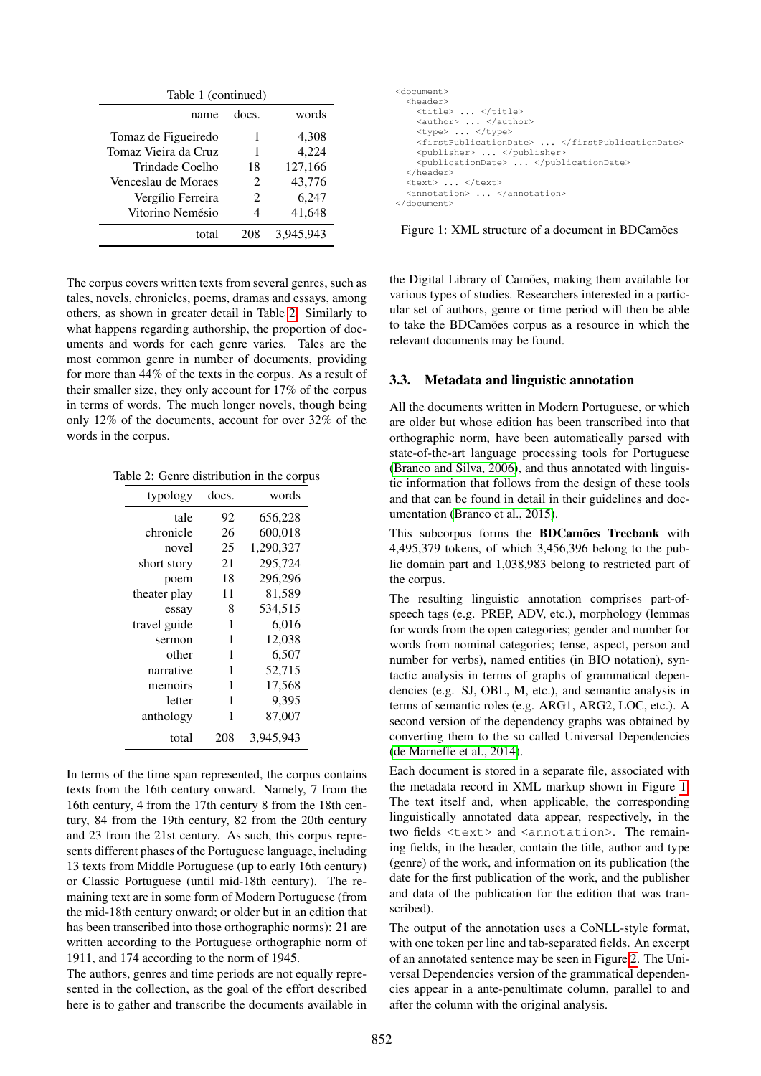| Table 1 (continued)  |                             |           |  |  |
|----------------------|-----------------------------|-----------|--|--|
| name                 | does                        | words     |  |  |
| Tomaz de Figueiredo  |                             | 4,308     |  |  |
| Tomaz Vieira da Cruz |                             | 4,224     |  |  |
| Trindade Coelho      | 18                          | 127,166   |  |  |
| Venceslau de Moraes  | $\mathcal{D}_{\mathcal{L}}$ | 43,776    |  |  |
| Vergílio Ferreira    | $\mathcal{D}_{\mathcal{L}}$ | 6,247     |  |  |
| Vitorino Nemésio     |                             | 41,648    |  |  |
| total                | 208                         | 3.945.943 |  |  |

The corpus covers written texts from several genres, such as tales, novels, chronicles, poems, dramas and essays, among others, as shown in greater detail in Table [2.](#page-3-0) Similarly to what happens regarding authorship, the proportion of documents and words for each genre varies. Tales are the most common genre in number of documents, providing for more than 44% of the texts in the corpus. As a result of their smaller size, they only account for 17% of the corpus in terms of words. The much longer novels, though being only 12% of the documents, account for over 32% of the words in the corpus.

Table 2: Genre distribution in the corpus

<span id="page-3-0"></span>

| typology     | docs. | words     |
|--------------|-------|-----------|
| tale         | 92    | 656,228   |
| chronicle    | 26    | 600,018   |
| novel        | 25    | 1,290,327 |
| short story  | 21    | 295,724   |
| poem         | 18    | 296,296   |
| theater play | 11    | 81,589    |
| essay        | 8     | 534.515   |
| travel guide | 1     | 6,016     |
| sermon       | 1     | 12,038    |
| other        | 1     | 6,507     |
| narrative    | 1     | 52,715    |
| memoirs      | 1     | 17,568    |
| letter       | 1     | 9,395     |
| anthology    | 1     | 87,007    |
| total        | 208   | 3,945,943 |

In terms of the time span represented, the corpus contains texts from the 16th century onward. Namely, 7 from the 16th century, 4 from the 17th century 8 from the 18th century, 84 from the 19th century, 82 from the 20th century and 23 from the 21st century. As such, this corpus represents different phases of the Portuguese language, including 13 texts from Middle Portuguese (up to early 16th century) or Classic Portuguese (until mid-18th century). The remaining text are in some form of Modern Portuguese (from the mid-18th century onward; or older but in an edition that has been transcribed into those orthographic norms): 21 are written according to the Portuguese orthographic norm of 1911, and 174 according to the norm of 1945.

The authors, genres and time periods are not equally represented in the collection, as the goal of the effort described here is to gather and transcribe the documents available in

| <document></document>                          |
|------------------------------------------------|
| <header></header>                              |
| <title> </title>                               |
| <author> </author>                             |
| <type> </type>                                 |
| <firstpublicationdate> </firstpublicationdate> |
| <publisher> </publisher>                       |
| <publicationdate> </publicationdate>           |
|                                                |
| <text> </text>                                 |
| <annotation> </annotation>                     |
|                                                |

<span id="page-3-1"></span>Figure 1: XML structure of a document in BDCamões

the Digital Library of Camões, making them available for various types of studies. Researchers interested in a particular set of authors, genre or time period will then be able to take the BDCamões corpus as a resource in which the relevant documents may be found.

#### 3.3. Metadata and linguistic annotation

All the documents written in Modern Portuguese, or which are older but whose edition has been transcribed into that orthographic norm, have been automatically parsed with state-of-the-art language processing tools for Portuguese [\(Branco and Silva, 2006\)](#page-4-2), and thus annotated with linguistic information that follows from the design of these tools and that can be found in detail in their guidelines and documentation [\(Branco et al., 2015\)](#page-4-3).

This subcorpus forms the BDCamoes Treebank with 4,495,379 tokens, of which 3,456,396 belong to the public domain part and 1,038,983 belong to restricted part of the corpus.

The resulting linguistic annotation comprises part-ofspeech tags (e.g. PREP, ADV, etc.), morphology (lemmas for words from the open categories; gender and number for words from nominal categories; tense, aspect, person and number for verbs), named entities (in BIO notation), syntactic analysis in terms of graphs of grammatical dependencies (e.g. SJ, OBL, M, etc.), and semantic analysis in terms of semantic roles (e.g. ARG1, ARG2, LOC, etc.). A second version of the dependency graphs was obtained by converting them to the so called Universal Dependencies [\(de Marneffe et al., 2014\)](#page-4-4).

Each document is stored in a separate file, associated with the metadata record in XML markup shown in Figure [1.](#page-3-1) The text itself and, when applicable, the corresponding linguistically annotated data appear, respectively, in the two fields <text> and <annotation>. The remaining fields, in the header, contain the title, author and type (genre) of the work, and information on its publication (the date for the first publication of the work, and the publisher and data of the publication for the edition that was transcribed).

The output of the annotation uses a CoNLL-style format, with one token per line and tab-separated fields. An excerpt of an annotated sentence may be seen in Figure [2.](#page-4-5) The Universal Dependencies version of the grammatical dependencies appear in a ante-penultimate column, parallel to and after the column with the original analysis.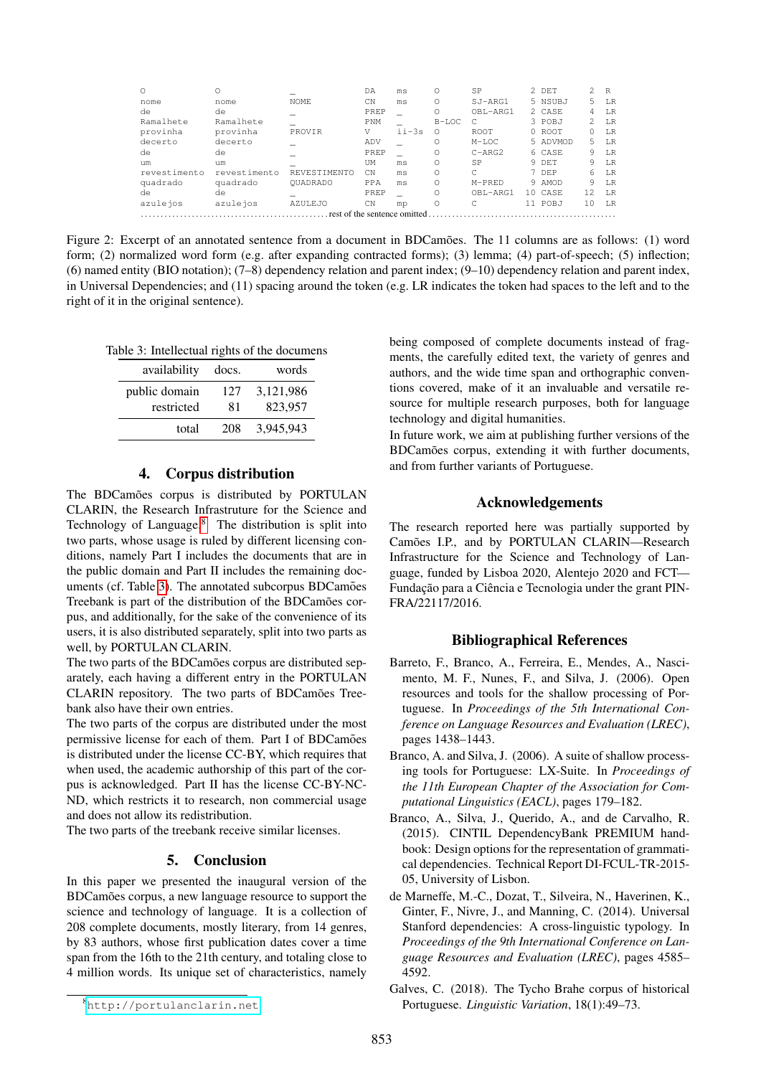| Ω            |              |                 | DΑ          | ms                           | Ω        | SP          | $2$ DET  | $2^{\circ}$ | R   |
|--------------|--------------|-----------------|-------------|------------------------------|----------|-------------|----------|-------------|-----|
| nome         | nome         | NOME.           | CN          | ms                           | Ω        | SJ-ARG1     | 5 NSUBJ  | 5.          | LR  |
| de           | de           |                 | PREP        |                              | Ω        | OBL-ARG1    | 2 CASE   | 4           | T.R |
| Ramalhete    | Ramalhete    |                 | <b>PNM</b>  |                              | $B-LOC$  |             | 3 POBJ   | 2           | T.R |
| provinha     | provinha     | PROVIR          | V           | $i$ $i - 3s$                 | Ω        | <b>ROOT</b> | 0 ROOT   | 0           | T.R |
| decerto      | decerto      |                 | ADV         |                              | Ω        | $M-LOC$     | 5 ADVMOD | 5.          | T.R |
| de           | de           |                 | PREP        |                              | Ω        | $C-ARG2$    | 6 CASE   | 9           | T.R |
| um           | um           |                 | UM          | ms                           | $\Omega$ | <b>SP</b>   | 9 DET    | 9           | T.R |
| revestimento | revestimento | REVESTIMENTO    | CN          | ms                           | $\Omega$ | C           | 7 DEP    | 6           | T.R |
| quadrado     | quadrado     | <b>OUADRADO</b> | PPA         | ms                           | Ω        | $M-PRED$    | 9 AMOD   | 9           | T.R |
| de           | de           |                 | <b>PREP</b> |                              | Ω        | OBL-ARG1    | 10 CASE  | 12          | T.R |
| azulejos     | azulejos     | <b>AZULEJO</b>  | CΝ          | mp                           | Ο        |             | 11 POBJ  | 1 N         | T.R |
|              |              |                 |             | rest of the sentence omitted |          |             |          |             |     |

<span id="page-4-5"></span>Figure 2: Excerpt of an annotated sentence from a document in BDCamões. The 11 columns are as follows: (1) word form; (2) normalized word form (e.g. after expanding contracted forms); (3) lemma; (4) part-of-speech; (5) inflection; (6) named entity (BIO notation); (7–8) dependency relation and parent index; (9–10) dependency relation and parent index, in Universal Dependencies; and (11) spacing around the token (e.g. LR indicates the token had spaces to the left and to the right of it in the original sentence).

Table 3: Intellectual rights of the documens

<span id="page-4-7"></span>

| availability  | docs. | words     |
|---------------|-------|-----------|
| public domain | 127   | 3,121,986 |
| restricted    | 81    | 823.957   |
| total         | 208   | 3,945,943 |

## 4. Corpus distribution

The BDCamões corpus is distributed by PORTULAN CLARIN, the Research Infrastruture for the Science and Technology of Language. $8$  The distribution is split into two parts, whose usage is ruled by different licensing conditions, namely Part I includes the documents that are in the public domain and Part II includes the remaining doc-uments (cf. Table [3\)](#page-4-7). The annotated subcorpus BDCamões Treebank is part of the distribution of the BDCamões corpus, and additionally, for the sake of the convenience of its users, it is also distributed separately, split into two parts as well, by PORTULAN CLARIN.

The two parts of the BDCamões corpus are distributed separately, each having a different entry in the PORTULAN CLARIN repository. The two parts of BDCamões Treebank also have their own entries.

The two parts of the corpus are distributed under the most permissive license for each of them. Part I of BDCamões is distributed under the license CC-BY, which requires that when used, the academic authorship of this part of the corpus is acknowledged. Part II has the license CC-BY-NC-ND, which restricts it to research, non commercial usage and does not allow its redistribution.

The two parts of the treebank receive similar licenses.

#### 5. Conclusion

In this paper we presented the inaugural version of the BDCamões corpus, a new language resource to support the science and technology of language. It is a collection of 208 complete documents, mostly literary, from 14 genres, by 83 authors, whose first publication dates cover a time span from the 16th to the 21th century, and totaling close to 4 million words. Its unique set of characteristics, namely

being composed of complete documents instead of fragments, the carefully edited text, the variety of genres and authors, and the wide time span and orthographic conventions covered, make of it an invaluable and versatile resource for multiple research purposes, both for language technology and digital humanities.

In future work, we aim at publishing further versions of the BDCamões corpus, extending it with further documents, and from further variants of Portuguese.

#### Acknowledgements

The research reported here was partially supported by Camões I.P., and by PORTULAN CLARIN-Research Infrastructure for the Science and Technology of Language, funded by Lisboa 2020, Alentejo 2020 and FCT— Fundação para a Ciência e Tecnologia under the grant PIN-FRA/22117/2016.

## Bibliographical References

- <span id="page-4-1"></span>Barreto, F., Branco, A., Ferreira, E., Mendes, A., Nascimento, M. F., Nunes, F., and Silva, J. (2006). Open resources and tools for the shallow processing of Portuguese. In *Proceedings of the 5th International Conference on Language Resources and Evaluation (LREC)*, pages 1438–1443.
- <span id="page-4-2"></span>Branco, A. and Silva, J. (2006). A suite of shallow processing tools for Portuguese: LX-Suite. In *Proceedings of the 11th European Chapter of the Association for Computational Linguistics (EACL)*, pages 179–182.
- <span id="page-4-3"></span>Branco, A., Silva, J., Querido, A., and de Carvalho, R. (2015). CINTIL DependencyBank PREMIUM handbook: Design options for the representation of grammatical dependencies. Technical Report DI-FCUL-TR-2015- 05, University of Lisbon.
- <span id="page-4-4"></span>de Marneffe, M.-C., Dozat, T., Silveira, N., Haverinen, K., Ginter, F., Nivre, J., and Manning, C. (2014). Universal Stanford dependencies: A cross-linguistic typology. In *Proceedings of the 9th International Conference on Language Resources and Evaluation (LREC)*, pages 4585– 4592.
- <span id="page-4-0"></span>Galves, C. (2018). The Tycho Brahe corpus of historical Portuguese. *Linguistic Variation*, 18(1):49–73.

<span id="page-4-6"></span><sup>8</sup><http://portulanclarin.net>